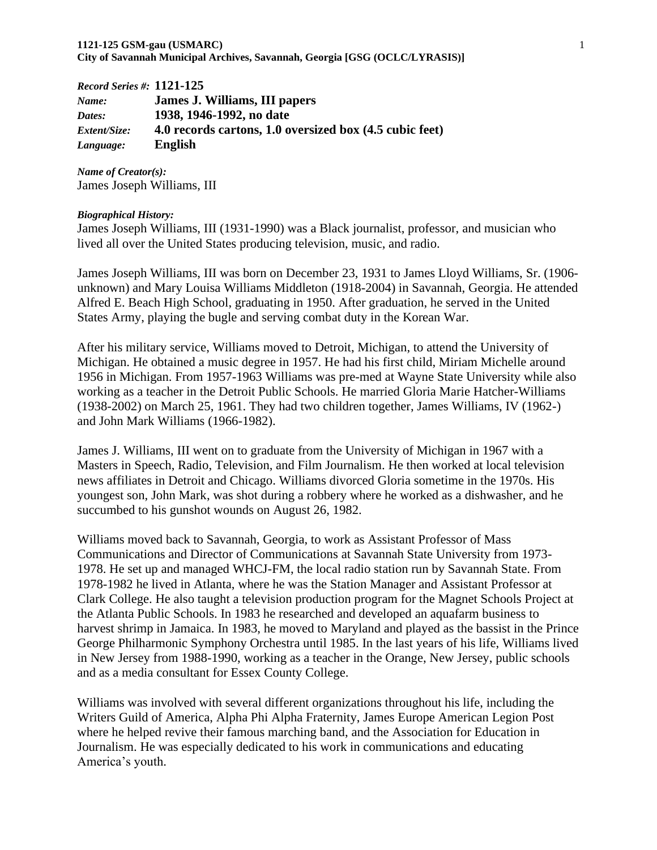| <b>Record Series #: 1121-125</b> |                                                         |
|----------------------------------|---------------------------------------------------------|
| Name:                            | James J. Williams, III papers                           |
| Dates:                           | 1938, 1946-1992, no date                                |
| <i>Extent/Size:</i>              | 4.0 records cartons, 1.0 oversized box (4.5 cubic feet) |
| Language:                        | <b>English</b>                                          |

*Name of Creator(s):* James Joseph Williams, III

#### *Biographical History:*

James Joseph Williams, III (1931-1990) was a Black journalist, professor, and musician who lived all over the United States producing television, music, and radio.

James Joseph Williams, III was born on December 23, 1931 to James Lloyd Williams, Sr. (1906 unknown) and Mary Louisa Williams Middleton (1918-2004) in Savannah, Georgia. He attended Alfred E. Beach High School, graduating in 1950. After graduation, he served in the United States Army, playing the bugle and serving combat duty in the Korean War.

After his military service, Williams moved to Detroit, Michigan, to attend the University of Michigan. He obtained a music degree in 1957. He had his first child, Miriam Michelle around 1956 in Michigan. From 1957-1963 Williams was pre-med at Wayne State University while also working as a teacher in the Detroit Public Schools. He married Gloria Marie Hatcher-Williams (1938-2002) on March 25, 1961. They had two children together, James Williams, IV (1962-) and John Mark Williams (1966-1982).

James J. Williams, III went on to graduate from the University of Michigan in 1967 with a Masters in Speech, Radio, Television, and Film Journalism. He then worked at local television news affiliates in Detroit and Chicago. Williams divorced Gloria sometime in the 1970s. His youngest son, John Mark, was shot during a robbery where he worked as a dishwasher, and he succumbed to his gunshot wounds on August 26, 1982.

Williams moved back to Savannah, Georgia, to work as Assistant Professor of Mass Communications and Director of Communications at Savannah State University from 1973- 1978. He set up and managed WHCJ-FM, the local radio station run by Savannah State. From 1978-1982 he lived in Atlanta, where he was the Station Manager and Assistant Professor at Clark College. He also taught a television production program for the Magnet Schools Project at the Atlanta Public Schools. In 1983 he researched and developed an aquafarm business to harvest shrimp in Jamaica. In 1983, he moved to Maryland and played as the bassist in the Prince George Philharmonic Symphony Orchestra until 1985. In the last years of his life, Williams lived in New Jersey from 1988-1990, working as a teacher in the Orange, New Jersey, public schools and as a media consultant for Essex County College.

Williams was involved with several different organizations throughout his life, including the Writers Guild of America, Alpha Phi Alpha Fraternity, James Europe American Legion Post where he helped revive their famous marching band, and the Association for Education in Journalism. He was especially dedicated to his work in communications and educating America's youth.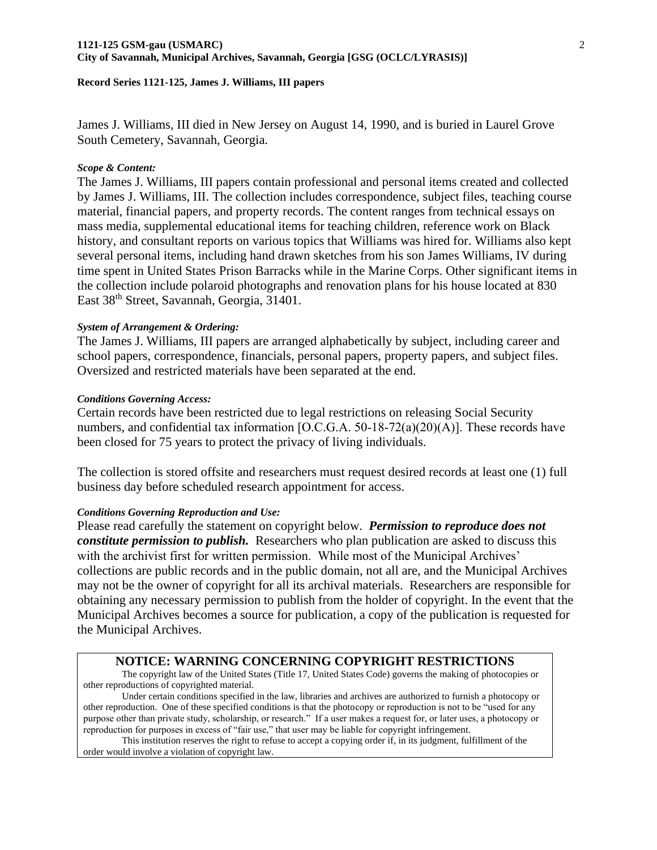James J. Williams, III died in New Jersey on August 14, 1990, and is buried in Laurel Grove South Cemetery, Savannah, Georgia.

#### *Scope & Content:*

The James J. Williams, III papers contain professional and personal items created and collected by James J. Williams, III. The collection includes correspondence, subject files, teaching course material, financial papers, and property records. The content ranges from technical essays on mass media, supplemental educational items for teaching children, reference work on Black history, and consultant reports on various topics that Williams was hired for. Williams also kept several personal items, including hand drawn sketches from his son James Williams, IV during time spent in United States Prison Barracks while in the Marine Corps. Other significant items in the collection include polaroid photographs and renovation plans for his house located at 830 East 38<sup>th</sup> Street, Savannah, Georgia, 31401.

#### *System of Arrangement & Ordering:*

The James J. Williams, III papers are arranged alphabetically by subject, including career and school papers, correspondence, financials, personal papers, property papers, and subject files. Oversized and restricted materials have been separated at the end.

#### *Conditions Governing Access:*

Certain records have been restricted due to legal restrictions on releasing Social Security numbers, and confidential tax information [O.C.G.A. 50-18-72(a)(20)(A)]. These records have been closed for 75 years to protect the privacy of living individuals.

The collection is stored offsite and researchers must request desired records at least one (1) full business day before scheduled research appointment for access.

#### *Conditions Governing Reproduction and Use:*

Please read carefully the statement on copyright below. *Permission to reproduce does not constitute permission to publish.* Researchers who plan publication are asked to discuss this with the archivist first for written permission. While most of the Municipal Archives' collections are public records and in the public domain, not all are, and the Municipal Archives may not be the owner of copyright for all its archival materials. Researchers are responsible for obtaining any necessary permission to publish from the holder of copyright. In the event that the Municipal Archives becomes a source for publication, a copy of the publication is requested for the Municipal Archives.

## **NOTICE: WARNING CONCERNING COPYRIGHT RESTRICTIONS**

The copyright law of the United States (Title 17, United States Code) governs the making of photocopies or other reproductions of copyrighted material.

Under certain conditions specified in the law, libraries and archives are authorized to furnish a photocopy or other reproduction. One of these specified conditions is that the photocopy or reproduction is not to be "used for any purpose other than private study, scholarship, or research." If a user makes a request for, or later uses, a photocopy or reproduction for purposes in excess of "fair use," that user may be liable for copyright infringement.

This institution reserves the right to refuse to accept a copying order if, in its judgment, fulfillment of the order would involve a violation of copyright law.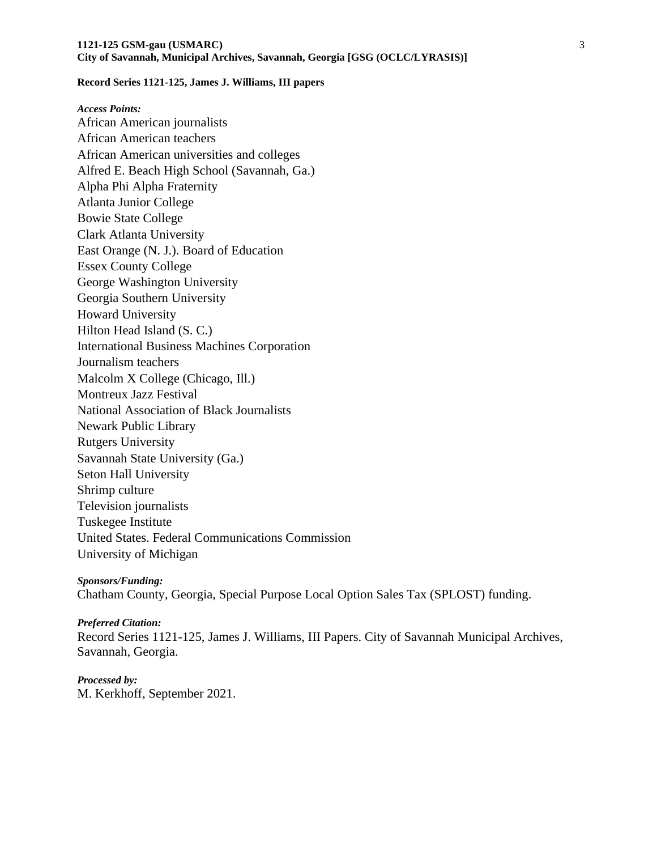*Access Points:* African American journalists African American teachers African American universities and colleges Alfred E. Beach High School (Savannah, Ga.) Alpha Phi Alpha Fraternity Atlanta Junior College Bowie State College Clark Atlanta University East Orange (N. J.). Board of Education Essex County College George Washington University Georgia Southern University Howard University Hilton Head Island (S. C.) International Business Machines Corporation Journalism teachers Malcolm X College (Chicago, Ill.) Montreux Jazz Festival National Association of Black Journalists Newark Public Library Rutgers University Savannah State University (Ga.) Seton Hall University Shrimp culture Television journalists Tuskegee Institute United States. Federal Communications Commission University of Michigan

*Sponsors/Funding:* Chatham County, Georgia, Special Purpose Local Option Sales Tax (SPLOST) funding.

*Preferred Citation:*  Record Series 1121-125, James J. Williams, III Papers. City of Savannah Municipal Archives, Savannah, Georgia.

## *Processed by:*

M. Kerkhoff, September 2021.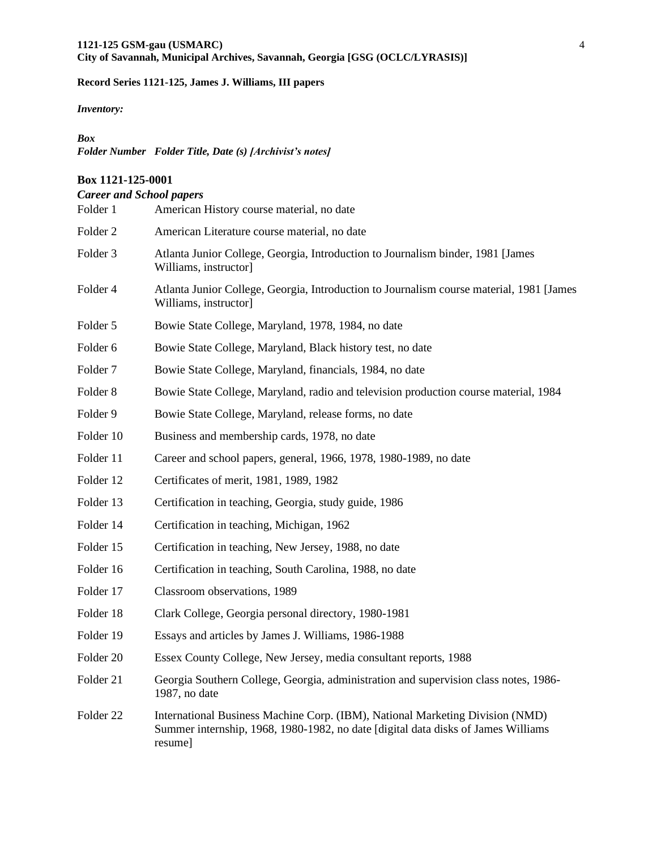*Inventory:*

#### *Box*

*Folder Number Folder Title, Date (s) [Archivist's notes]*

### **Box 1121-125-0001**

# *Career and School papers* Folder 1 American History course material, no date Folder 2 American Literature course material, no date Folder 3 Atlanta Junior College, Georgia, Introduction to Journalism binder, 1981 [James Williams, instructor] Folder 4 Atlanta Junior College, Georgia, Introduction to Journalism course material, 1981 [James Williams, instructor] Folder 5 Bowie State College, Maryland, 1978, 1984, no date Folder 6 Bowie State College, Maryland, Black history test, no date Folder 7 Bowie State College, Maryland, financials, 1984, no date Folder 8 Bowie State College, Maryland, radio and television production course material, 1984 Folder 9 Bowie State College, Maryland, release forms, no date Folder 10 Business and membership cards, 1978, no date Folder 11 Career and school papers, general, 1966, 1978, 1980-1989, no date Folder 12 Certificates of merit, 1981, 1989, 1982 Folder 13 Certification in teaching, Georgia, study guide, 1986 Folder 14 Certification in teaching, Michigan, 1962 Folder 15 Certification in teaching, New Jersey, 1988, no date Folder 16 Certification in teaching, South Carolina, 1988, no date Folder 17 Classroom observations, 1989 Folder 18 Clark College, Georgia personal directory, 1980-1981 Folder 19 Essays and articles by James J. Williams, 1986-1988 Folder 20 Essex County College, New Jersey, media consultant reports, 1988 Folder 21 Georgia Southern College, Georgia, administration and supervision class notes, 1986- 1987, no date Folder 22 International Business Machine Corp. (IBM), National Marketing Division (NMD)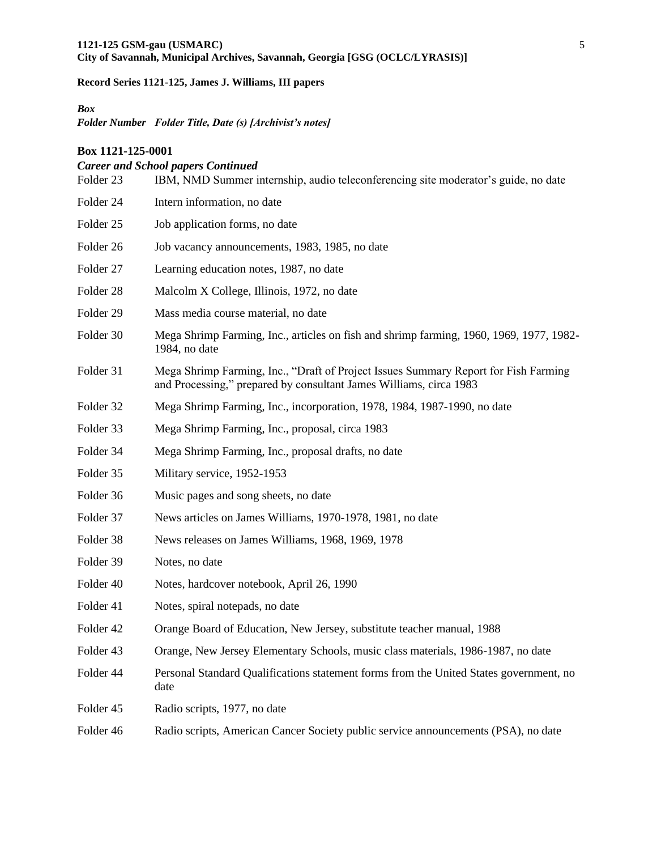## *Box*

*Folder Number Folder Title, Date (s) [Archivist's notes]* 

#### **Box 1121-125-0001**

## *Career and School papers Continued*

| Folder 23 | IBM, NMD Summer internship, audio teleconferencing site moderator's guide, no date                                                                        |
|-----------|-----------------------------------------------------------------------------------------------------------------------------------------------------------|
| Folder 24 | Intern information, no date                                                                                                                               |
| Folder 25 | Job application forms, no date                                                                                                                            |
| Folder 26 | Job vacancy announcements, 1983, 1985, no date                                                                                                            |
| Folder 27 | Learning education notes, 1987, no date                                                                                                                   |
| Folder 28 | Malcolm X College, Illinois, 1972, no date                                                                                                                |
| Folder 29 | Mass media course material, no date                                                                                                                       |
| Folder 30 | Mega Shrimp Farming, Inc., articles on fish and shrimp farming, 1960, 1969, 1977, 1982-<br>1984, no date                                                  |
| Folder 31 | Mega Shrimp Farming, Inc., "Draft of Project Issues Summary Report for Fish Farming<br>and Processing," prepared by consultant James Williams, circa 1983 |
| Folder 32 | Mega Shrimp Farming, Inc., incorporation, 1978, 1984, 1987-1990, no date                                                                                  |
| Folder 33 | Mega Shrimp Farming, Inc., proposal, circa 1983                                                                                                           |
| Folder 34 | Mega Shrimp Farming, Inc., proposal drafts, no date                                                                                                       |
| Folder 35 | Military service, 1952-1953                                                                                                                               |
| Folder 36 | Music pages and song sheets, no date                                                                                                                      |
| Folder 37 | News articles on James Williams, 1970-1978, 1981, no date                                                                                                 |
| Folder 38 | News releases on James Williams, 1968, 1969, 1978                                                                                                         |
| Folder 39 | Notes, no date                                                                                                                                            |
| Folder 40 | Notes, hardcover notebook, April 26, 1990                                                                                                                 |
| Folder 41 | Notes, spiral notepads, no date                                                                                                                           |
| Folder 42 | Orange Board of Education, New Jersey, substitute teacher manual, 1988                                                                                    |
| Folder 43 | Orange, New Jersey Elementary Schools, music class materials, 1986-1987, no date                                                                          |
| Folder 44 | Personal Standard Qualifications statement forms from the United States government, no<br>date                                                            |
| Folder 45 | Radio scripts, 1977, no date                                                                                                                              |
| Folder 46 | Radio scripts, American Cancer Society public service announcements (PSA), no date                                                                        |
|           |                                                                                                                                                           |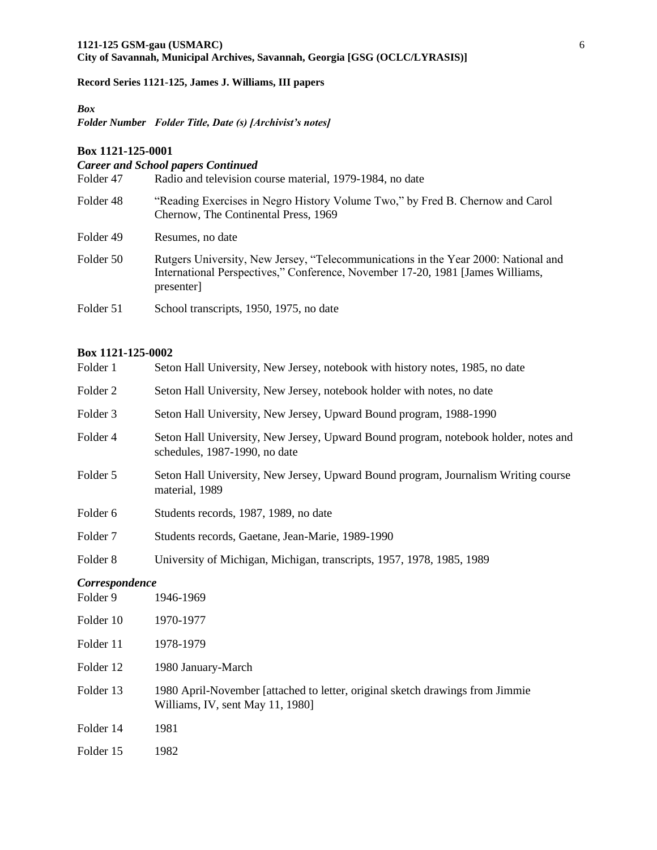#### *Box*

*Folder Number Folder Title, Date (s) [Archivist's notes]* 

#### **Box 1121-125-0001**

## *Career and School papers Continued* Folder 47 Radio and television course material, 1979-1984, no date Folder 48 "Reading Exercises in Negro History Volume Two," by Fred B. Chernow and Carol Chernow, The Continental Press, 1969 Folder 49 Resumes, no date Folder 50 Rutgers University, New Jersey, "Telecommunications in the Year 2000: National and International Perspectives," Conference, November 17-20, 1981 [James Williams, presenter] Folder 51 School transcripts, 1950, 1975, no date

#### **Box 1121-125-0002**

| Folder 1       | Seton Hall University, New Jersey, notebook with history notes, 1985, no date                                        |
|----------------|----------------------------------------------------------------------------------------------------------------------|
| Folder 2       | Seton Hall University, New Jersey, notebook holder with notes, no date                                               |
| Folder 3       | Seton Hall University, New Jersey, Upward Bound program, 1988-1990                                                   |
| Folder 4       | Seton Hall University, New Jersey, Upward Bound program, notebook holder, notes and<br>schedules, 1987-1990, no date |
| Folder 5       | Seton Hall University, New Jersey, Upward Bound program, Journalism Writing course<br>material, 1989                 |
| Folder 6       | Students records, 1987, 1989, no date                                                                                |
| Folder 7       | Students records, Gaetane, Jean-Marie, 1989-1990                                                                     |
| Folder 8       | University of Michigan, Michigan, transcripts, 1957, 1978, 1985, 1989                                                |
| Correspondence |                                                                                                                      |
| Folder 9       | 1946-1969                                                                                                            |
| Folder 10      | 1970-1977                                                                                                            |
| Folder 11      | 1978-1979                                                                                                            |
| Folder 12      | 1980 January-March                                                                                                   |
| Folder 13      | 1980 April-November [attached to letter, original sketch drawings from Jimmie<br>Williams, IV, sent May 11, 1980]    |
|                |                                                                                                                      |

Folder 14 1981

Folder 15 1982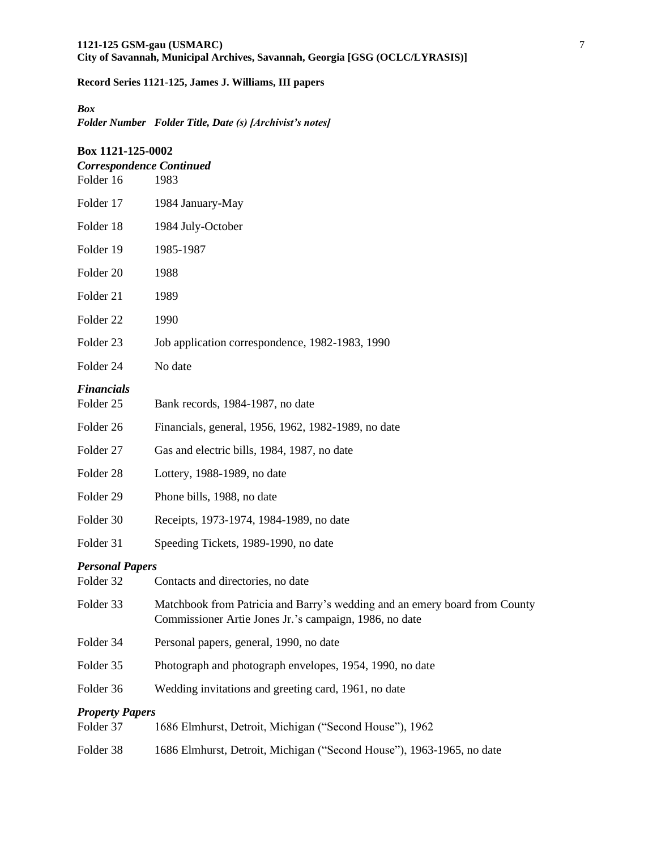## *Box*

*Folder Number Folder Title, Date (s) [Archivist's notes]* 

| Box 1121-125-0002<br><b>Correspondence Continued</b> |                                                                                                                                      |  |
|------------------------------------------------------|--------------------------------------------------------------------------------------------------------------------------------------|--|
| Folder 16                                            | 1983                                                                                                                                 |  |
| Folder 17                                            | 1984 January-May                                                                                                                     |  |
| Folder 18                                            | 1984 July-October                                                                                                                    |  |
| Folder 19                                            | 1985-1987                                                                                                                            |  |
| Folder 20                                            | 1988                                                                                                                                 |  |
| Folder 21                                            | 1989                                                                                                                                 |  |
| Folder <sub>22</sub>                                 | 1990                                                                                                                                 |  |
| Folder <sub>23</sub>                                 | Job application correspondence, 1982-1983, 1990                                                                                      |  |
| Folder 24                                            | No date                                                                                                                              |  |
| <b>Financials</b>                                    |                                                                                                                                      |  |
| Folder 25                                            | Bank records, 1984-1987, no date                                                                                                     |  |
| Folder 26                                            | Financials, general, 1956, 1962, 1982-1989, no date                                                                                  |  |
| Folder 27                                            | Gas and electric bills, 1984, 1987, no date                                                                                          |  |
| Folder 28                                            | Lottery, 1988-1989, no date                                                                                                          |  |
| Folder 29                                            | Phone bills, 1988, no date                                                                                                           |  |
| Folder 30                                            | Receipts, 1973-1974, 1984-1989, no date                                                                                              |  |
| Folder 31                                            | Speeding Tickets, 1989-1990, no date                                                                                                 |  |
| <b>Personal Papers</b><br>Folder 32                  | Contacts and directories, no date                                                                                                    |  |
| Folder 33                                            | Matchbook from Patricia and Barry's wedding and an emery board from County<br>Commissioner Artie Jones Jr.'s campaign, 1986, no date |  |
| Folder 34                                            | Personal papers, general, 1990, no date                                                                                              |  |
| Folder 35                                            | Photograph and photograph envelopes, 1954, 1990, no date                                                                             |  |
| Folder 36                                            | Wedding invitations and greeting card, 1961, no date                                                                                 |  |
| <b>Property Papers</b>                               |                                                                                                                                      |  |
| Folder 37                                            | 1686 Elmhurst, Detroit, Michigan ("Second House"), 1962                                                                              |  |
| Folder 38                                            | 1686 Elmhurst, Detroit, Michigan ("Second House"), 1963-1965, no date                                                                |  |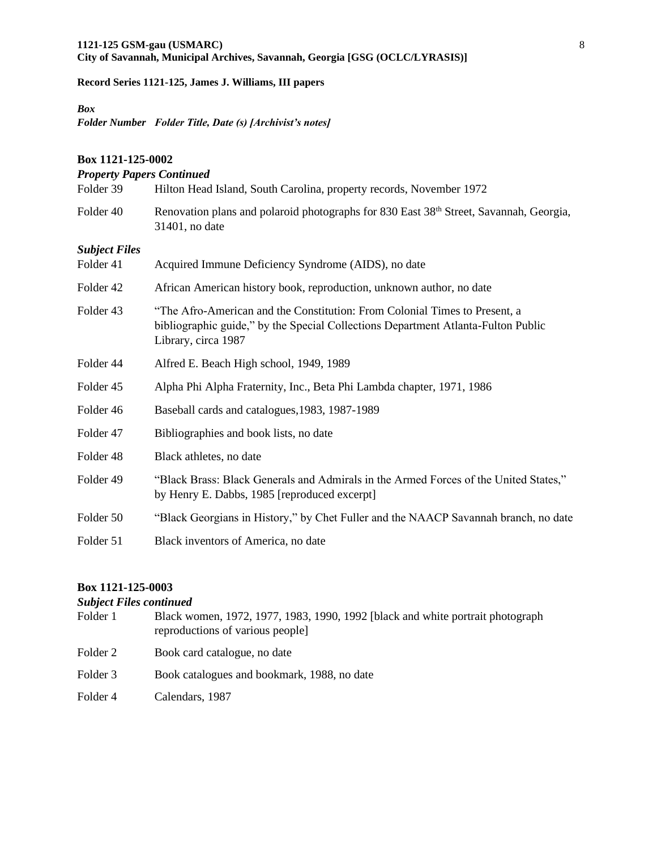## *Box*

*Folder Number Folder Title, Date (s) [Archivist's notes]* 

## **Box 1121-125-0002**

| <b>Property Papers Continued</b> |                                                                                                                                                                                        |  |
|----------------------------------|----------------------------------------------------------------------------------------------------------------------------------------------------------------------------------------|--|
| Folder 39                        | Hilton Head Island, South Carolina, property records, November 1972                                                                                                                    |  |
| Folder 40                        | Renovation plans and polaroid photographs for 830 East $38th$ Street, Savannah, Georgia,<br>31401, no date                                                                             |  |
| <b>Subject Files</b>             |                                                                                                                                                                                        |  |
| Folder 41                        | Acquired Immune Deficiency Syndrome (AIDS), no date                                                                                                                                    |  |
| Folder 42                        | African American history book, reproduction, unknown author, no date                                                                                                                   |  |
| Folder 43                        | "The Afro-American and the Constitution: From Colonial Times to Present, a<br>bibliographic guide," by the Special Collections Department Atlanta-Fulton Public<br>Library, circa 1987 |  |
| Folder 44                        | Alfred E. Beach High school, 1949, 1989                                                                                                                                                |  |
| Folder 45                        | Alpha Phi Alpha Fraternity, Inc., Beta Phi Lambda chapter, 1971, 1986                                                                                                                  |  |
| Folder 46                        | Baseball cards and catalogues, 1983, 1987-1989                                                                                                                                         |  |
| Folder 47                        | Bibliographies and book lists, no date                                                                                                                                                 |  |
| Folder 48                        | Black athletes, no date                                                                                                                                                                |  |
| Folder 49                        | "Black Brass: Black Generals and Admirals in the Armed Forces of the United States,"<br>by Henry E. Dabbs, 1985 [reproduced excerpt]                                                   |  |
| Folder 50                        | "Black Georgians in History," by Chet Fuller and the NAACP Savannah branch, no date                                                                                                    |  |
| Folder 51                        | Black inventors of America, no date                                                                                                                                                    |  |

## **Box 1121-125-0003**

## *Subject Files continued*

| Folder 1 | Black women, 1972, 1977, 1983, 1990, 1992 [black and white portrait photograph<br>reproductions of various people] |
|----------|--------------------------------------------------------------------------------------------------------------------|
| Folder 2 | Book card catalogue, no date                                                                                       |
| Folder 3 | Book catalogues and bookmark, 1988, no date                                                                        |
| Folder 4 | Calendars, 1987                                                                                                    |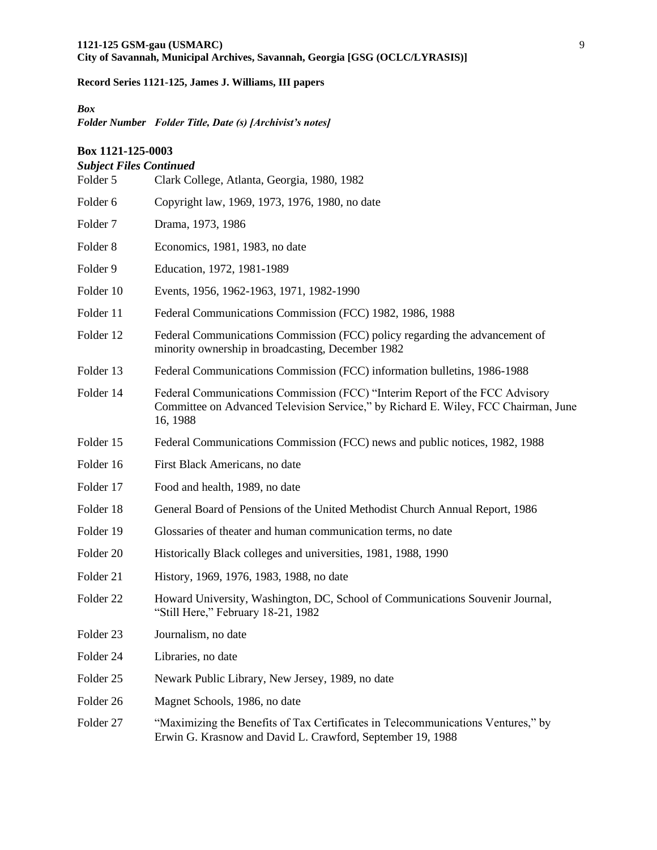## *Box*

*Folder Number Folder Title, Date (s) [Archivist's notes]* 

## **Box 1121-125-0003**

## *Subject Files Continued*

| Folder 5             | Clark College, Atlanta, Georgia, 1980, 1982                                                                                                                                   |  |
|----------------------|-------------------------------------------------------------------------------------------------------------------------------------------------------------------------------|--|
| Folder 6             | Copyright law, 1969, 1973, 1976, 1980, no date                                                                                                                                |  |
| Folder <sub>7</sub>  | Drama, 1973, 1986                                                                                                                                                             |  |
| Folder <sub>8</sub>  | Economics, 1981, 1983, no date                                                                                                                                                |  |
| Folder 9             | Education, 1972, 1981-1989                                                                                                                                                    |  |
| Folder 10            | Events, 1956, 1962-1963, 1971, 1982-1990                                                                                                                                      |  |
| Folder 11            | Federal Communications Commission (FCC) 1982, 1986, 1988                                                                                                                      |  |
| Folder 12            | Federal Communications Commission (FCC) policy regarding the advancement of<br>minority ownership in broadcasting, December 1982                                              |  |
| Folder 13            | Federal Communications Commission (FCC) information bulletins, 1986-1988                                                                                                      |  |
| Folder 14            | Federal Communications Commission (FCC) "Interim Report of the FCC Advisory<br>Committee on Advanced Television Service," by Richard E. Wiley, FCC Chairman, June<br>16, 1988 |  |
| Folder 15            | Federal Communications Commission (FCC) news and public notices, 1982, 1988                                                                                                   |  |
| Folder 16            | First Black Americans, no date                                                                                                                                                |  |
| Folder 17            | Food and health, 1989, no date                                                                                                                                                |  |
| Folder 18            | General Board of Pensions of the United Methodist Church Annual Report, 1986                                                                                                  |  |
| Folder 19            | Glossaries of theater and human communication terms, no date                                                                                                                  |  |
| Folder 20            | Historically Black colleges and universities, 1981, 1988, 1990                                                                                                                |  |
| Folder 21            | History, 1969, 1976, 1983, 1988, no date                                                                                                                                      |  |
| Folder <sub>22</sub> | Howard University, Washington, DC, School of Communications Souvenir Journal,<br>"Still Here," February 18-21, 1982                                                           |  |
| Folder 23            | Journalism, no date                                                                                                                                                           |  |
| Folder 24            | Libraries, no date                                                                                                                                                            |  |
| Folder 25            | Newark Public Library, New Jersey, 1989, no date                                                                                                                              |  |
| Folder 26            | Magnet Schools, 1986, no date                                                                                                                                                 |  |
| Folder 27            | "Maximizing the Benefits of Tax Certificates in Telecommunications Ventures," by<br>Erwin G. Krasnow and David L. Crawford, September 19, 1988                                |  |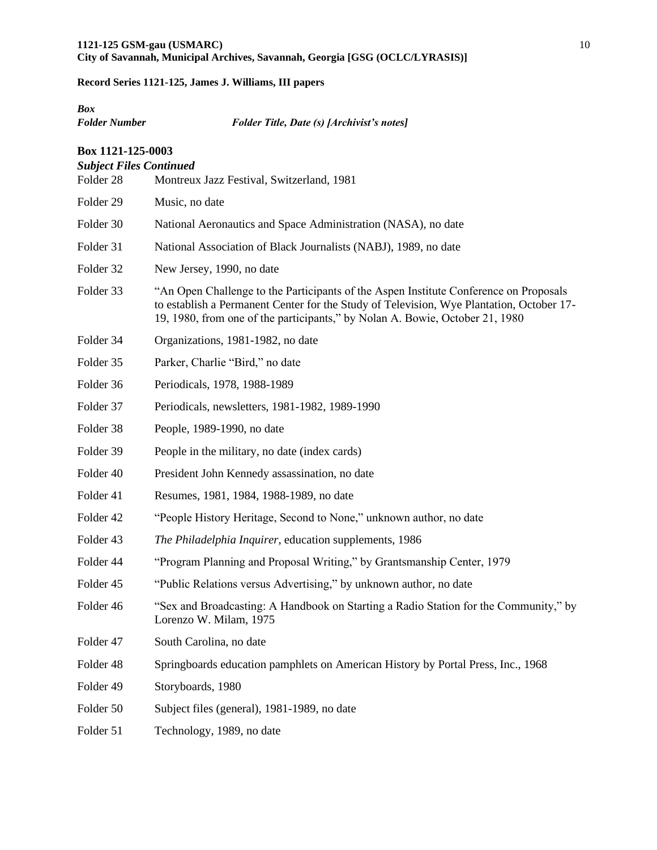# *Box*

*Folder Number Folder Title, Date (s) [Archivist's notes]* 

| Box 1121-125-0003<br><b>Subject Files Continued</b> |                                                                                                                                                                                                                                                                   |  |
|-----------------------------------------------------|-------------------------------------------------------------------------------------------------------------------------------------------------------------------------------------------------------------------------------------------------------------------|--|
| Folder 28                                           | Montreux Jazz Festival, Switzerland, 1981                                                                                                                                                                                                                         |  |
| Folder 29                                           | Music, no date                                                                                                                                                                                                                                                    |  |
| Folder 30                                           | National Aeronautics and Space Administration (NASA), no date                                                                                                                                                                                                     |  |
| Folder 31                                           | National Association of Black Journalists (NABJ), 1989, no date                                                                                                                                                                                                   |  |
| Folder 32                                           | New Jersey, 1990, no date                                                                                                                                                                                                                                         |  |
| Folder 33                                           | "An Open Challenge to the Participants of the Aspen Institute Conference on Proposals<br>to establish a Permanent Center for the Study of Television, Wye Plantation, October 17-<br>19, 1980, from one of the participants," by Nolan A. Bowie, October 21, 1980 |  |
| Folder 34                                           | Organizations, 1981-1982, no date                                                                                                                                                                                                                                 |  |
| Folder 35                                           | Parker, Charlie "Bird," no date                                                                                                                                                                                                                                   |  |
| Folder 36                                           | Periodicals, 1978, 1988-1989                                                                                                                                                                                                                                      |  |
| Folder 37                                           | Periodicals, newsletters, 1981-1982, 1989-1990                                                                                                                                                                                                                    |  |
| Folder 38                                           | People, 1989-1990, no date                                                                                                                                                                                                                                        |  |
| Folder 39                                           | People in the military, no date (index cards)                                                                                                                                                                                                                     |  |
| Folder 40                                           | President John Kennedy assassination, no date                                                                                                                                                                                                                     |  |
| Folder 41                                           | Resumes, 1981, 1984, 1988-1989, no date                                                                                                                                                                                                                           |  |
| Folder 42                                           | "People History Heritage, Second to None," unknown author, no date                                                                                                                                                                                                |  |
| Folder 43                                           | The Philadelphia Inquirer, education supplements, 1986                                                                                                                                                                                                            |  |
| Folder 44                                           | "Program Planning and Proposal Writing," by Grantsmanship Center, 1979                                                                                                                                                                                            |  |
| Folder 45                                           | "Public Relations versus Advertising," by unknown author, no date                                                                                                                                                                                                 |  |
| Folder 46                                           | "Sex and Broadcasting: A Handbook on Starting a Radio Station for the Community," by<br>Lorenzo W. Milam, 1975                                                                                                                                                    |  |
| Folder 47                                           | South Carolina, no date                                                                                                                                                                                                                                           |  |
| Folder 48                                           | Springboards education pamphlets on American History by Portal Press, Inc., 1968                                                                                                                                                                                  |  |
| Folder 49                                           | Storyboards, 1980                                                                                                                                                                                                                                                 |  |
| Folder 50                                           | Subject files (general), 1981-1989, no date                                                                                                                                                                                                                       |  |
| Folder 51                                           | Technology, 1989, no date                                                                                                                                                                                                                                         |  |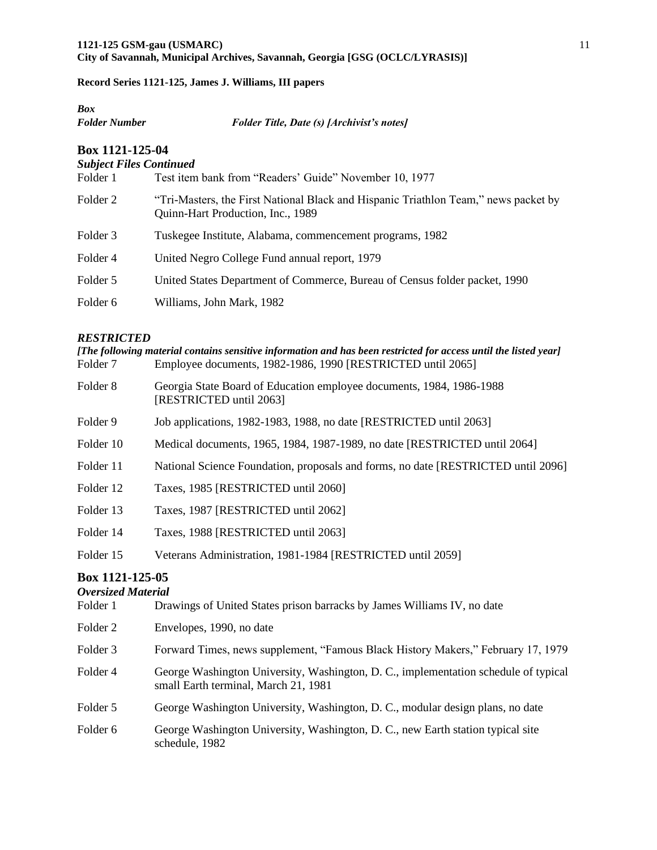| Box           |                                                   |
|---------------|---------------------------------------------------|
| Folder Number | <b>Folder Title, Date (s) [Archivist's notes]</b> |
|               |                                                   |

## **Box 1121-125-04**

## *Subject Files Continued*

| Folder 1 | Test item bank from "Readers' Guide" November 10, 1977                                                                   |
|----------|--------------------------------------------------------------------------------------------------------------------------|
| Folder 2 | "Tri-Masters, the First National Black and Hispanic Triathlon Team," news packet by<br>Quinn-Hart Production, Inc., 1989 |
| Folder 3 | Tuskegee Institute, Alabama, commencement programs, 1982                                                                 |
| Folder 4 | United Negro College Fund annual report, 1979                                                                            |
| Folder 5 | United States Department of Commerce, Bureau of Census folder packet, 1990                                               |
| Folder 6 | Williams, John Mark, 1982                                                                                                |
|          |                                                                                                                          |

## *RESTRICTED*

| [The following material contains sensitive information and has been restricted for access until the listed year] |                                                                                                 |  |
|------------------------------------------------------------------------------------------------------------------|-------------------------------------------------------------------------------------------------|--|
| Folder 7                                                                                                         | Employee documents, 1982-1986, 1990 [RESTRICTED until 2065]                                     |  |
| Folder 8                                                                                                         | Georgia State Board of Education employee documents, 1984, 1986-1988<br>[RESTRICTED until 2063] |  |
| Folder 9                                                                                                         | Job applications, 1982-1983, 1988, no date [RESTRICTED until 2063]                              |  |
| Folder 10                                                                                                        | Medical documents, 1965, 1984, 1987-1989, no date [RESTRICTED until 2064]                       |  |
| Folder 11                                                                                                        | National Science Foundation, proposals and forms, no date [RESTRICTED until 2096]               |  |
| Folder 12                                                                                                        | Taxes, 1985 [RESTRICTED until 2060]                                                             |  |
| Folder 13                                                                                                        | Taxes, 1987 [RESTRICTED until 2062]                                                             |  |
| Folder 14                                                                                                        | Taxes, 1988 [RESTRICTED until 2063]                                                             |  |
| Folder 15                                                                                                        | Veterans Administration, 1981-1984 [RESTRICTED until 2059]                                      |  |
| $R_{\alpha v}$ 1121 125 $\Omega$ 5                                                                               |                                                                                                 |  |

## **Box 1121-125-05**

## *Oversized Material*

| Folder 1 | Drawings of United States prison barracks by James Williams IV, no date                                                     |
|----------|-----------------------------------------------------------------------------------------------------------------------------|
| Folder 2 | Envelopes, 1990, no date                                                                                                    |
| Folder 3 | Forward Times, news supplement, "Famous Black History Makers," February 17, 1979                                            |
| Folder 4 | George Washington University, Washington, D. C., implementation schedule of typical<br>small Earth terminal, March 21, 1981 |
| Folder 5 | George Washington University, Washington, D. C., modular design plans, no date                                              |
| Folder 6 | George Washington University, Washington, D. C., new Earth station typical site<br>schedule, 1982                           |